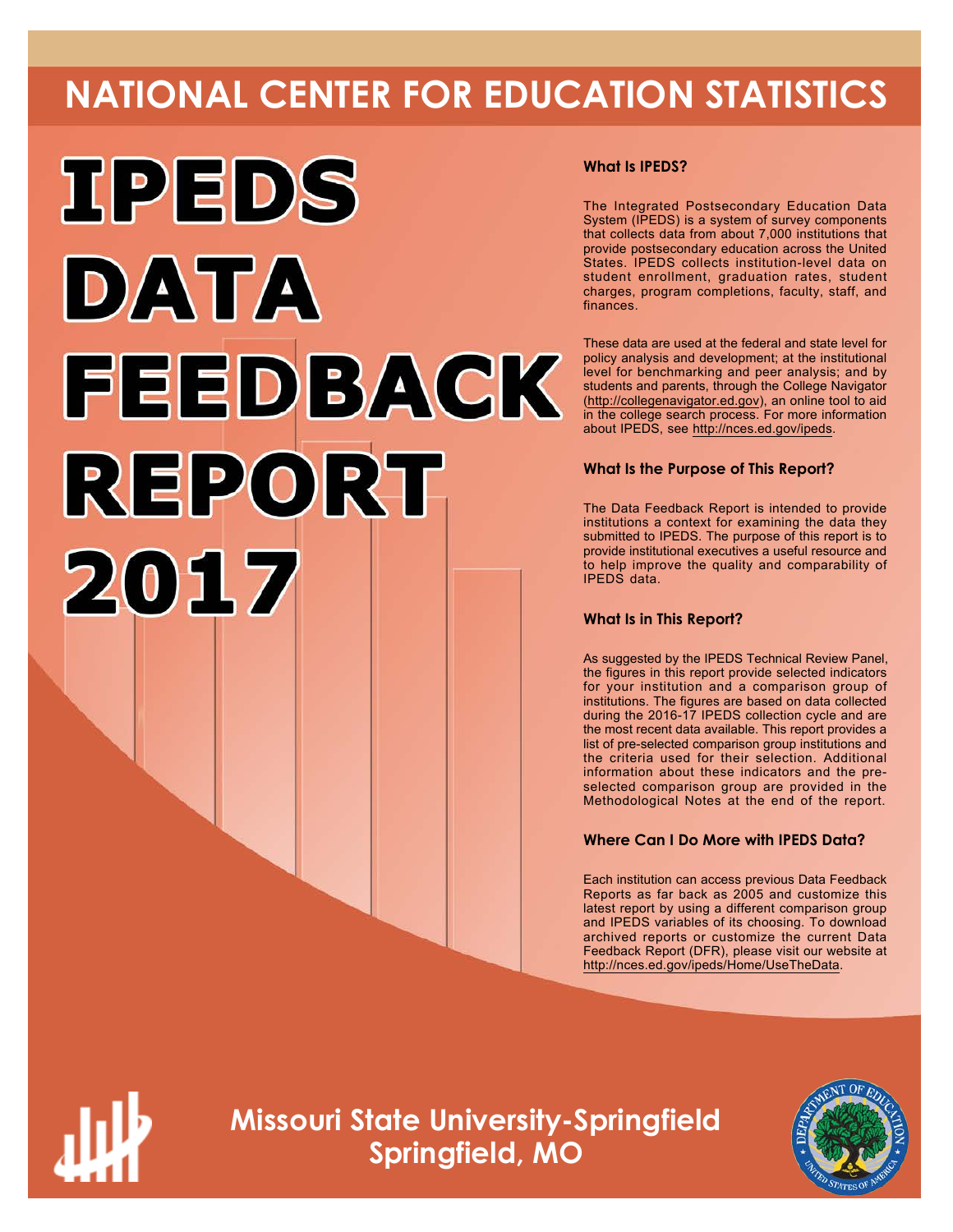# **NATIONAL CENTER FOR EDUCATION STATISTICS**



# **What Is IPEDS?**

The Integrated Postsecondary Education Data System (IPEDS) is a system of survey components that collects data from about 7,000 institutions that provide postsecondary education across the United States. IPEDS collects institution-level data on student enrollment, graduation rates, student charges, program completions, faculty, staff, and finances.

These data are used at the federal and state level for policy analysis and development; at the institutional level for benchmarking and peer analysis; and by students and parents, through the College Navigator (<http://collegenavigator.ed.gov>), an online tool to aid in the college search process. For more information about IPEDS, see [http://nces.ed.gov/ipeds.](http://nces.ed.gov/ipeds)

# **What Is the Purpose of This Report?**

The Data Feedback Report is intended to provide institutions a context for examining the data they submitted to IPEDS. The purpose of this report is to provide institutional executives a useful resource and to help improve the quality and comparability of IPEDS data.

# **What Is in This Report?**

As suggested by the IPEDS Technical Review Panel, the figures in this report provide selected indicators for your institution and a comparison group of institutions. The figures are based on data collected during the 2016-17 IPEDS collection cycle and are the most recent data available. This report provides a list of pre-selected comparison group institutions and the criteria used for their selection. Additional information about these indicators and the preselected comparison group are provided in the Methodological Notes at the end of the report.

# **Where Can I Do More with IPEDS Data?**

Each institution can access previous Data Feedback Reports as far back as 2005 and customize this latest report by using a different comparison group and IPEDS variables of its choosing. To download archived reports or customize the current Data Feedback Report (DFR), please visit our website at [http://nces.ed.gov/ipeds/Home/UseTheData.](http://nces.ed.gov/ipeds/Home/UseTheData)



**Missouri State University-Springfield Springfield, MO**

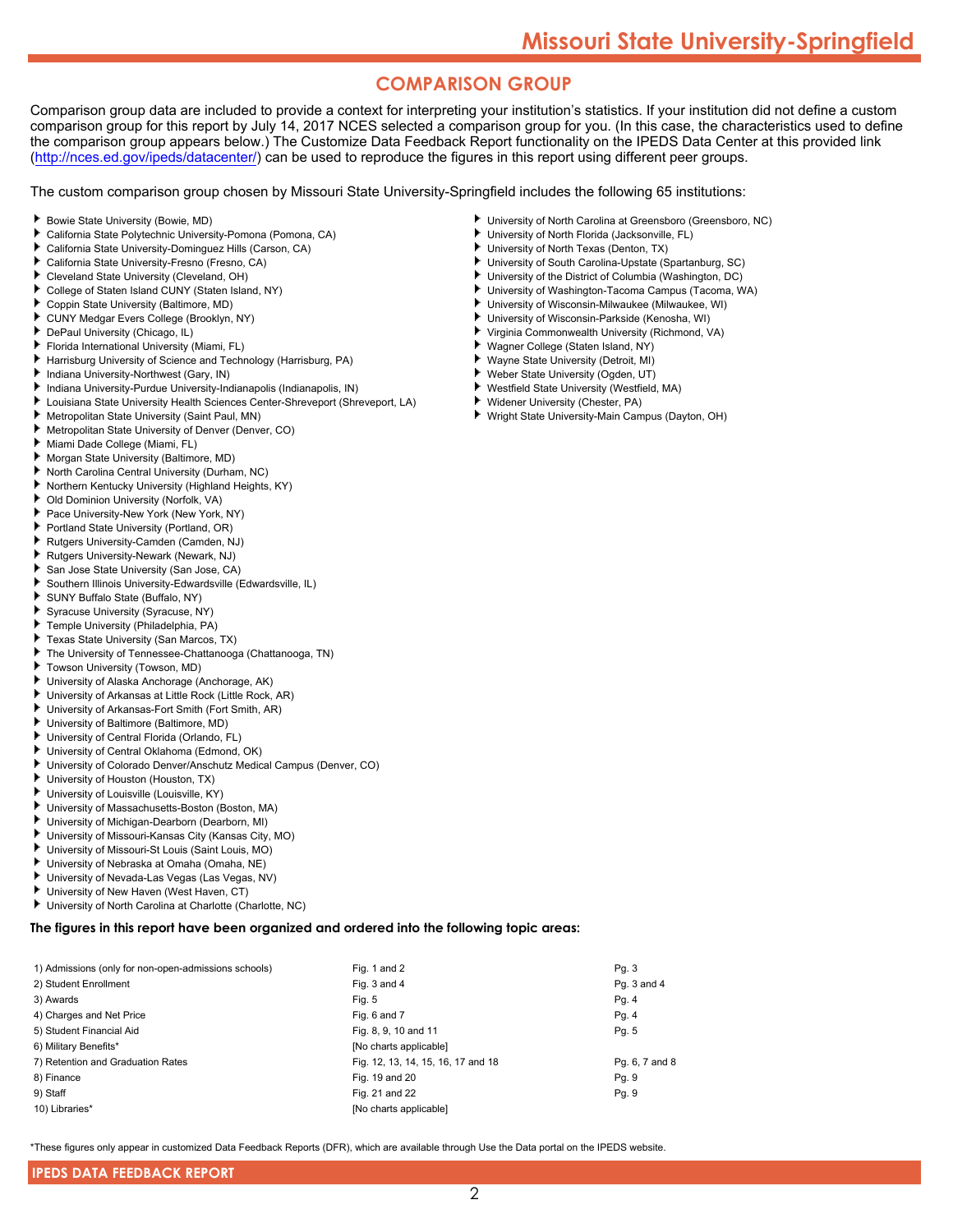# **COMPARISON GROUP**

Comparison group data are included to provide a context for interpreting your institution's statistics. If your institution did not define a custom comparison group for this report by July 14, 2017 NCES selected a comparison group for you. (In this case, the characteristics used to define the comparison group appears below.) The Customize Data Feedback Report functionality on the IPEDS Data Center at this provided link [\(http://nces.ed.gov/ipeds/datacenter/\)](http://nces.ed.gov/ipeds/datacenter/) can be used to reproduce the figures in this report using different peer groups.

The custom comparison group chosen by Missouri State University-Springfield includes the following 65 institutions:

- Bowie State University (Bowie, MD)
- ь California State Polytechnic University-Pomona (Pomona, CA)
- California State University-Dominguez Hills (Carson, CA)
- California State University-Fresno (Fresno, CA)
- Cleveland State University (Cleveland, OH)
- ь College of Staten Island CUNY (Staten Island, NY)
- Coppin State University (Baltimore, MD)
- CUNY Medgar Evers College (Brooklyn, NY)
- DePaul University (Chicago, IL)
- Florida International University (Miami, FL)
- Harrisburg University of Science and Technology (Harrisburg, PA)
- Indiana University-Northwest (Gary, IN)
- Indiana University-Purdue University-Indianapolis (Indianapolis, IN)
- Louisiana State University Health Sciences Center-Shreveport (Shreveport, LA)
- Metropolitan State University (Saint Paul, MN)
- Metropolitan State University of Denver (Denver, CO)
- Miami Dade College (Miami, FL)
- Morgan State University (Baltimore, MD)
- North Carolina Central University (Durham, NC)
- Northern Kentucky University (Highland Heights, KY)
- Old Dominion University (Norfolk, VA)
- Pace University-New York (New York, NY)
- Portland State University (Portland, OR)
- Rutgers University-Camden (Camden, NJ)
- Rutgers University-Newark (Newark, NJ)
- San Jose State University (San Jose, CA)
- Southern Illinois University-Edwardsville (Edwardsville, IL)
- SUNY Buffalo State (Buffalo, NY)
- Syracuse University (Syracuse, NY)
- Temple University (Philadelphia, PA)
- Texas State University (San Marcos, TX)
- The University of Tennessee-Chattanooga (Chattanooga, TN) ٠
- Towson University (Towson, MD)
- University of Alaska Anchorage (Anchorage, AK)
- University of Arkansas at Little Rock (Little Rock, AR)
- University of Arkansas-Fort Smith (Fort Smith, AR)
- University of Baltimore (Baltimore, MD)
- University of Central Florida (Orlando, FL)
- University of Central Oklahoma (Edmond, OK)
- University of Colorado Denver/Anschutz Medical Campus (Denver, CO)
- University of Houston (Houston, TX)
- University of Louisville (Louisville, KY)
- University of Massachusetts-Boston (Boston, MA)
- University of Michigan-Dearborn (Dearborn, MI)
- University of Missouri-Kansas City (Kansas City, MO)
- University of Missouri-St Louis (Saint Louis, MO) ь
- University of Nebraska at Omaha (Omaha, NE)
- University of Nevada-Las Vegas (Las Vegas, NV)
- University of New Haven (West Haven, CT)
- University of North Carolina at Charlotte (Charlotte, NC)

**The figures in this report have been organized and ordered into the following topic areas:**

| Pg. 3          |
|----------------|
| Pg. 3 and 4    |
| Pg. 4          |
| Pg. 4          |
| Pg. 5          |
|                |
| Pg. 6, 7 and 8 |
| Pg. 9          |
| Pg. 9          |
|                |
|                |

\*These figures only appear in customized Data Feedback Reports (DFR), which are available through Use the Data portal on the IPEDS website.

2

- University of North Carolina at Greensboro (Greensboro, NC)
- University of North Florida (Jacksonville, FL)
- University of North Texas (Denton, TX)
- University of South Carolina-Upstate (Spartanburg, SC)
- University of the District of Columbia (Washington, DC)
- University of Washington-Tacoma Campus (Tacoma, WA)
- University of Wisconsin-Milwaukee (Milwaukee, WI)
- University of Wisconsin-Parkside (Kenosha, WI) ٠ Virginia Commonwealth University (Richmond, VA)
- Wagner College (Staten Island, NY)
- 
- Wayne State University (Detroit, MI) ٠ Weber State University (Ogden, UT)
- Westfield State University (Westfield, MA)
- ь Widener University (Chester, PA)
- Wright State University-Main Campus (Dayton, OH)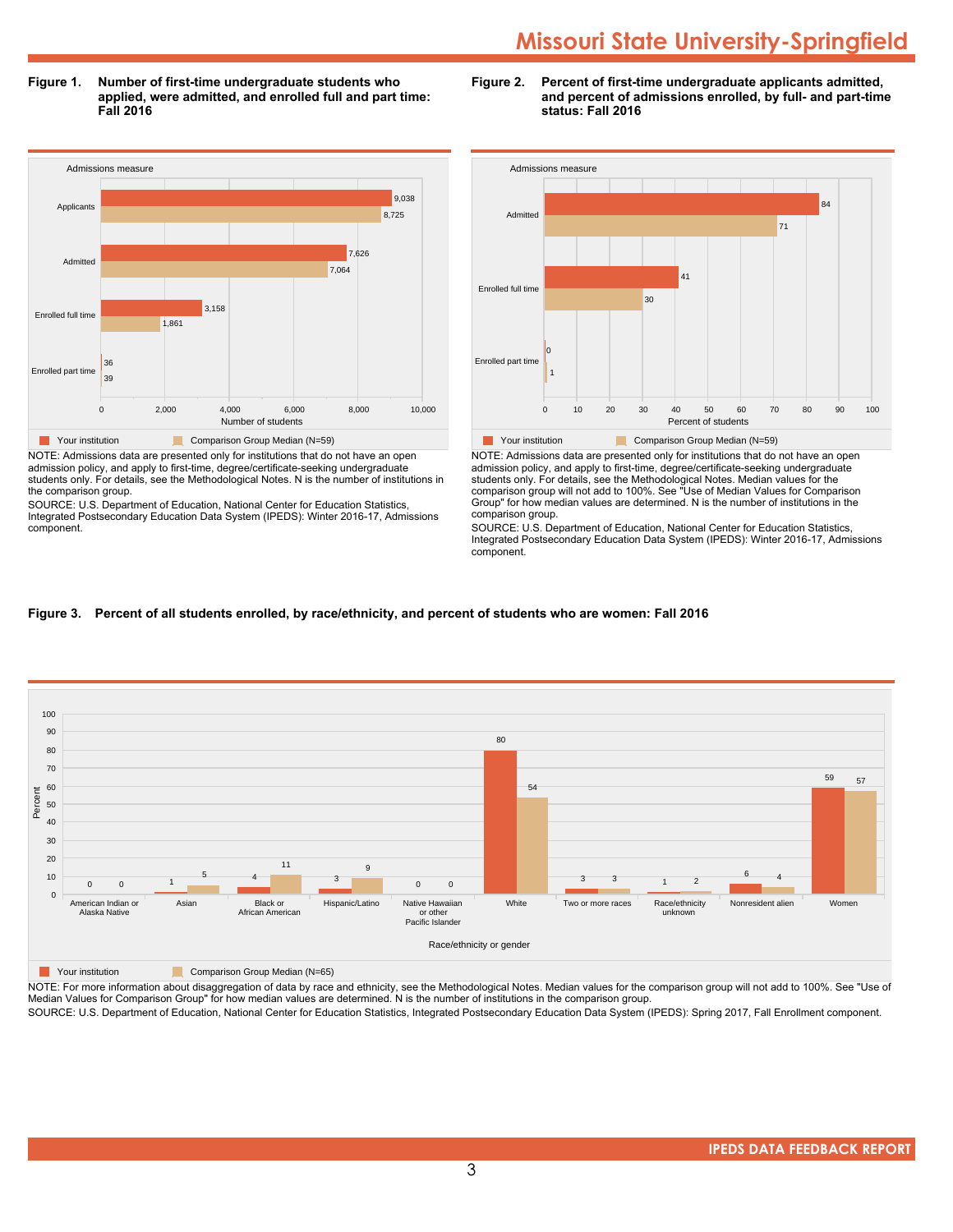**Figure 1. Number of first-time undergraduate students who applied, were admitted, and enrolled full and part time: Fall 2016**



NOTE: Admissions data are presented only for institutions that do not have an open admission policy, and apply to first-time, degree/certificate-seeking undergraduate students only. For details, see the Methodological Notes. N is the number of institutions in the comparison group.

SOURCE: U.S. Department of Education, National Center for Education Statistics, Integrated Postsecondary Education Data System (IPEDS): Winter 2016-17, Admissions component.





NOTE: Admissions data are presented only for institutions that do not have an open admission policy, and apply to first-time, degree/certificate-seeking undergraduate students only. For details, see the Methodological Notes. Median values for the comparison group will not add to 100%. See "Use of Median Values for Comparison Group" for how median values are determined. N is the number of institutions in the comparison group.

SOURCE: U.S. Department of Education, National Center for Education Statistics, Integrated Postsecondary Education Data System (IPEDS): Winter 2016-17, Admissions component.

# **Figure 3. Percent of all students enrolled, by race/ethnicity, and percent of students who are women: Fall 2016**



**The Comparison Group Median (N=65)** Comparison Group Median (N=65)

NOTE: For more information about disaggregation of data by race and ethnicity, see the Methodological Notes. Median values for the comparison group will not add to 100%. See "Use of Median Values for Comparison Group" for how median values are determined. N is the number of institutions in the comparison group.

SOURCE: U.S. Department of Education, National Center for Education Statistics, Integrated Postsecondary Education Data System (IPEDS): Spring 2017, Fall Enrollment component.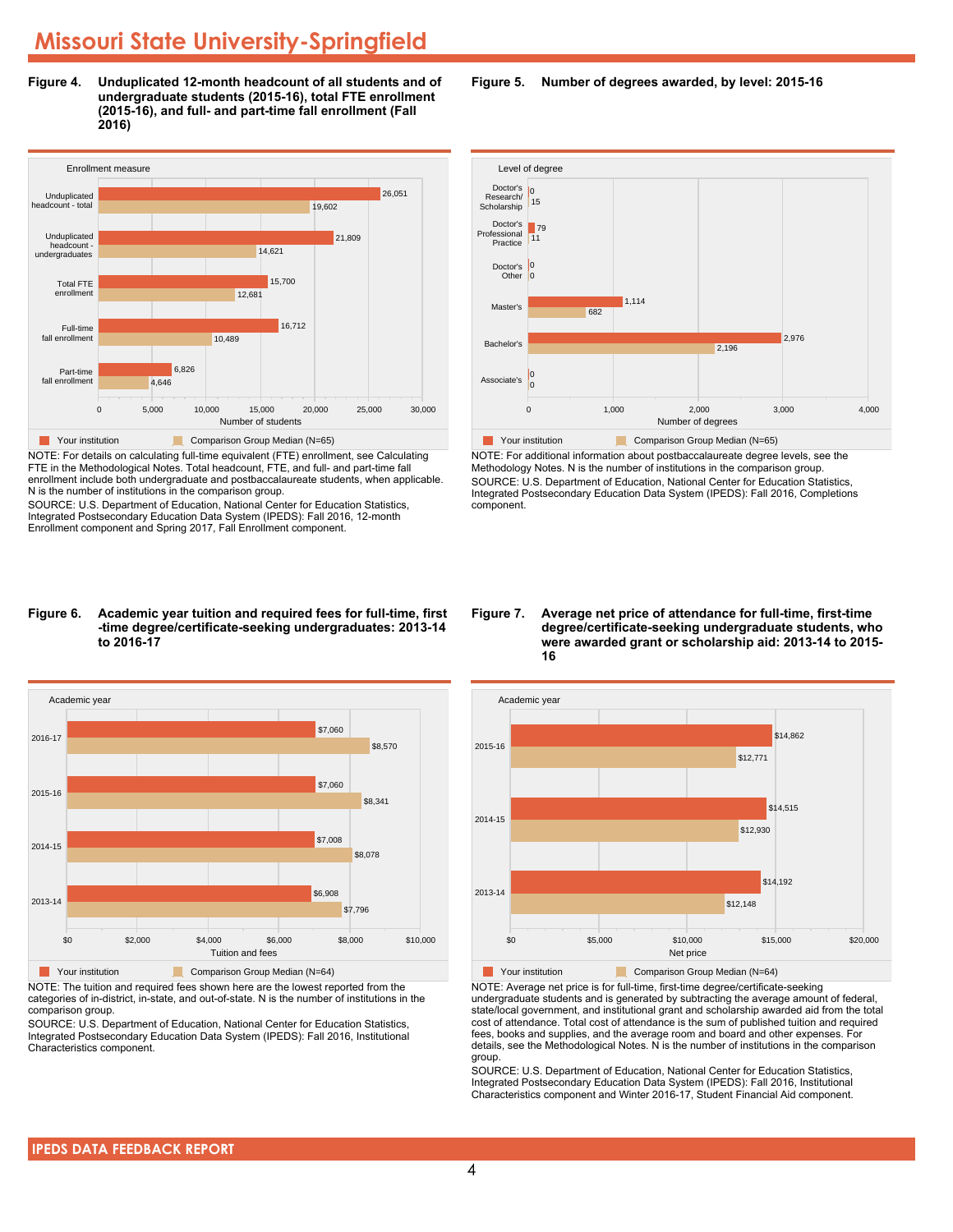**Figure 4. Unduplicated 12-month headcount of all students and of undergraduate students (2015-16), total FTE enrollment (2015-16), and full- and part-time fall enrollment (Fall 2016)**



NOTE: For details on calculating full-time equivalent (FTE) enrollment, see Calculating FTE in the Methodological Notes. Total headcount, FTE, and full- and part-time fall enrollment include both undergraduate and postbaccalaureate students, when applicable. N is the number of institutions in the comparison group.

SOURCE: U.S. Department of Education, National Center for Education Statistics, Integrated Postsecondary Education Data System (IPEDS): Fall 2016, 12-month Enrollment component and Spring 2017, Fall Enrollment component.

#### **Figure 6. Academic year tuition and required fees for full-time, first -time degree/certificate-seeking undergraduates: 2013-14 to 2016-17**



NOTE: The tuition and required fees shown here are the lowest reported from the categories of in-district, in-state, and out-of-state. N is the number of institutions in the comparison group.

SOURCE: U.S. Department of Education, National Center for Education Statistics, Integrated Postsecondary Education Data System (IPEDS): Fall 2016, Institutional Characteristics component.

**Figure 5. Number of degrees awarded, by level: 2015-16**



NOTE: For additional information about postbaccalaureate degree levels, see the Methodology Notes. N is the number of institutions in the comparison group. SOURCE: U.S. Department of Education, National Center for Education Statistics, Integrated Postsecondary Education Data System (IPEDS): Fall 2016, Completions component.

**Figure 7. Average net price of attendance for full-time, first-time degree/certificate-seeking undergraduate students, who were awarded grant or scholarship aid: 2013-14 to 2015- 16**



NOTE: Average net price is for full-time, first-time degree/certificate-seeking undergraduate students and is generated by subtracting the average amount of federal, state/local government, and institutional grant and scholarship awarded aid from the total cost of attendance. Total cost of attendance is the sum of published tuition and required fees, books and supplies, and the average room and board and other expenses. For details, see the Methodological Notes. N is the number of institutions in the comparison group.

SOURCE: U.S. Department of Education, National Center for Education Statistics, Integrated Postsecondary Education Data System (IPEDS): Fall 2016, Institutional Characteristics component and Winter 2016-17, Student Financial Aid component.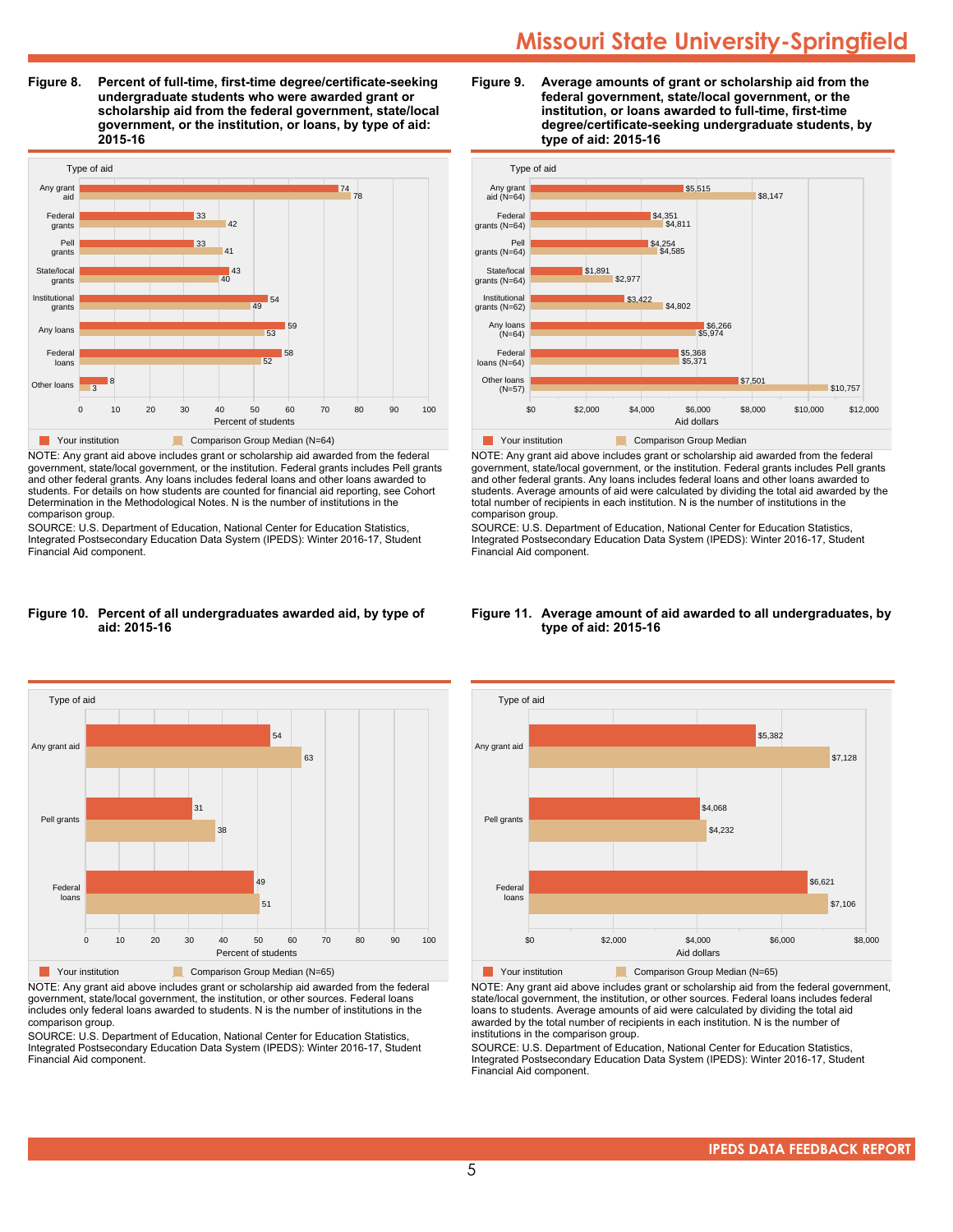**Figure 8. Percent of full-time, first-time degree/certificate-seeking undergraduate students who were awarded grant or scholarship aid from the federal government, state/local government, or the institution, or loans, by type of aid: 2015-16**



NOTE: Any grant aid above includes grant or scholarship aid awarded from the federal government, state/local government, or the institution. Federal grants includes Pell grants and other federal grants. Any loans includes federal loans and other loans awarded to students. For details on how students are counted for financial aid reporting, see Cohort Determination in the Methodological Notes. N is the number of institutions in the comparison group.

SOURCE: U.S. Department of Education, National Center for Education Statistics, Integrated Postsecondary Education Data System (IPEDS): Winter 2016-17, Student Financial Aid component.

#### **Figure 10. Percent of all undergraduates awarded aid, by type of aid: 2015-16**



NOTE: Any grant aid above includes grant or scholarship aid awarded from the federal government, state/local government, the institution, or other sources. Federal loans includes only federal loans awarded to students. N is the number of institutions in the comparison group.

SOURCE: U.S. Department of Education, National Center for Education Statistics, Integrated Postsecondary Education Data System (IPEDS): Winter 2016-17, Student Financial Aid component.





NOTE: Any grant aid above includes grant or scholarship aid awarded from the federal government, state/local government, or the institution. Federal grants includes Pell grants and other federal grants. Any loans includes federal loans and other loans awarded to students. Average amounts of aid were calculated by dividing the total aid awarded by the total number of recipients in each institution. N is the number of institutions in the comparison group.

SOURCE: U.S. Department of Education, National Center for Education Statistics, Integrated Postsecondary Education Data System (IPEDS): Winter 2016-17, Student Financial Aid component.

#### **Figure 11. Average amount of aid awarded to all undergraduates, by type of aid: 2015-16**



NOTE: Any grant aid above includes grant or scholarship aid from the federal government, state/local government, the institution, or other sources. Federal loans includes federal loans to students. Average amounts of aid were calculated by dividing the total aid awarded by the total number of recipients in each institution. N is the number of institutions in the comparison group.

SOURCE: U.S. Department of Education, National Center for Education Statistics, Integrated Postsecondary Education Data System (IPEDS): Winter 2016-17, Student Financial Aid component.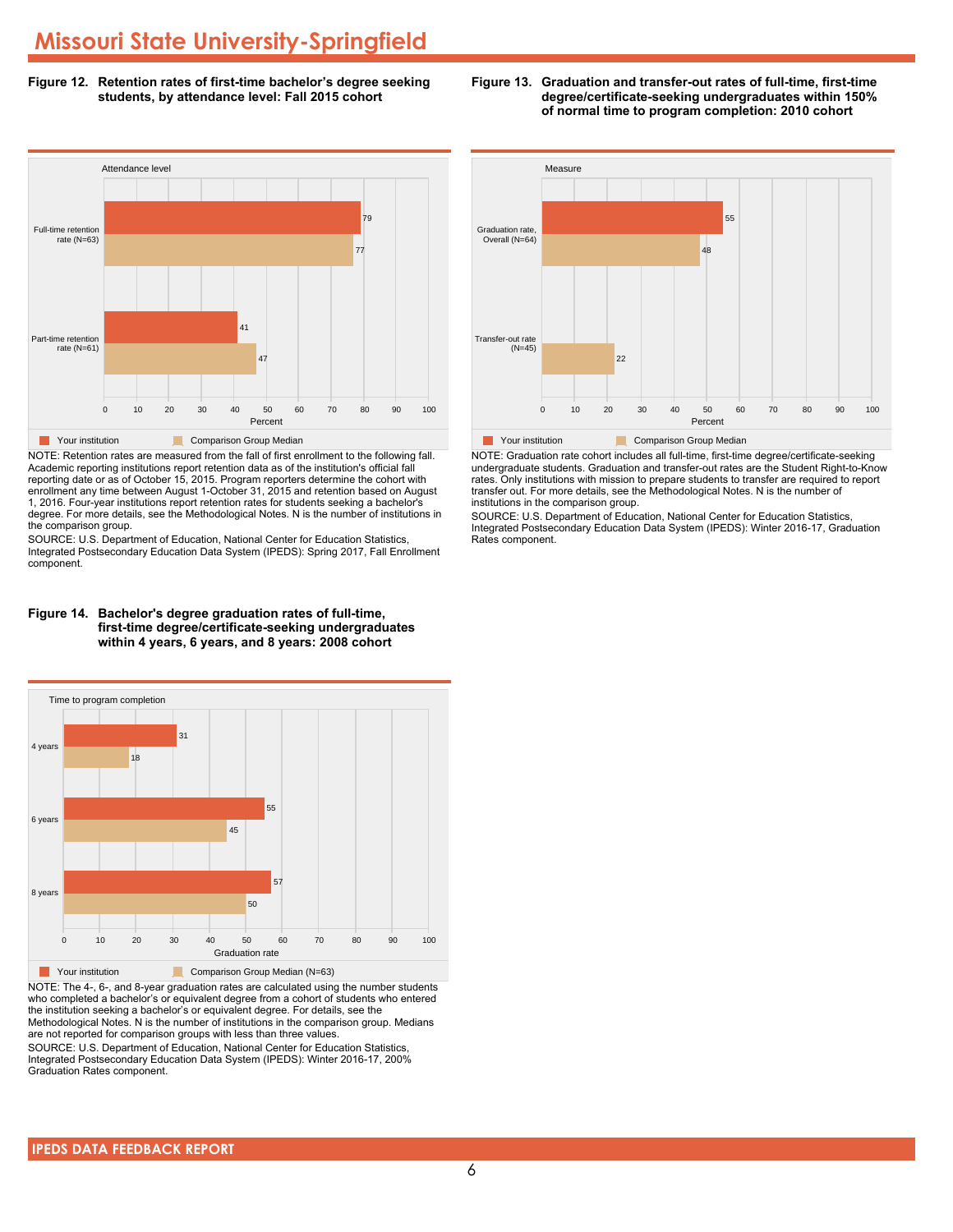**Figure 12. Retention rates of first-time bachelor's degree seeking students, by attendance level: Fall 2015 cohort**



NOTE: Retention rates are measured from the fall of first enrollment to the following fall. Academic reporting institutions report retention data as of the institution's official fall reporting date or as of October 15, 2015. Program reporters determine the cohort with enrollment any time between August 1-October 31, 2015 and retention based on August 1, 2016. Four-year institutions report retention rates for students seeking a bachelor's degree. For more details, see the Methodological Notes. N is the number of institutions in the comparison group.

SOURCE: U.S. Department of Education, National Center for Education Statistics, Integrated Postsecondary Education Data System (IPEDS): Spring 2017, Fall Enrollment component.





NOTE: The 4-, 6-, and 8-year graduation rates are calculated using the number students who completed a bachelor's or equivalent degree from a cohort of students who entered the institution seeking a bachelor's or equivalent degree. For details, see the Methodological Notes. N is the number of institutions in the comparison group. Medians are not reported for comparison groups with less than three values.

SOURCE: U.S. Department of Education, National Center for Education Statistics, Integrated Postsecondary Education Data System (IPEDS): Winter 2016-17, 200% Graduation Rates component.



**Figure 13. Graduation and transfer-out rates of full-time, first-time**

**degree/certificate-seeking undergraduates within 150% of normal time to program completion: 2010 cohort**

NOTE: Graduation rate cohort includes all full-time, first-time degree/certificate-seeking undergraduate students. Graduation and transfer-out rates are the Student Right-to-Know rates. Only institutions with mission to prepare students to transfer are required to report transfer out. For more details, see the Methodological Notes. N is the number of institutions in the comparison group.

SOURCE: U.S. Department of Education, National Center for Education Statistics, Integrated Postsecondary Education Data System (IPEDS): Winter 2016-17, Graduation Rates component.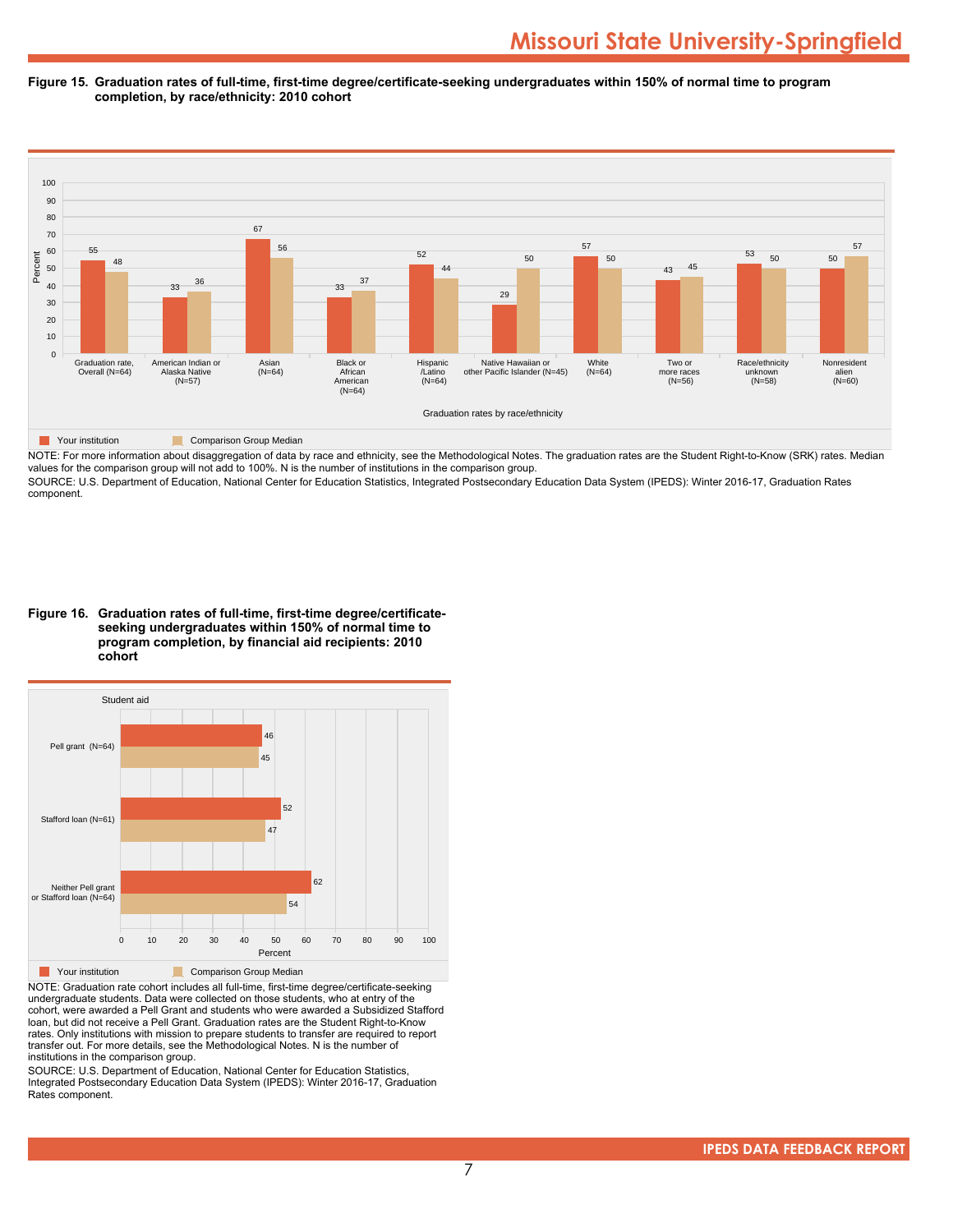#### **Figure 15. Graduation rates of full-time, first-time degree/certificate-seeking undergraduates within 150% of normal time to program completion, by race/ethnicity: 2010 cohort**



NOTE: For more information about disaggregation of data by race and ethnicity, see the Methodological Notes. The graduation rates are the Student Right-to-Know (SRK) rates. Median values for the comparison group will not add to 100%. N is the number of institutions in the comparison group.

SOURCE: U.S. Department of Education, National Center for Education Statistics, Integrated Postsecondary Education Data System (IPEDS): Winter 2016-17, Graduation Rates component.

**Figure 16. Graduation rates of full-time, first-time degree/certificateseeking undergraduates within 150% of normal time to program completion, by financial aid recipients: 2010 cohort**



NOTE: Graduation rate cohort includes all full-time, first-time degree/certificate-seeking undergraduate students. Data were collected on those students, who at entry of the cohort, were awarded a Pell Grant and students who were awarded a Subsidized Stafford loan, but did not receive a Pell Grant. Graduation rates are the Student Right-to-Know rates. Only institutions with mission to prepare students to transfer are required to report transfer out. For more details, see the Methodological Notes. N is the number of institutions in the comparison group.

SOURCE: U.S. Department of Education, National Center for Education Statistics, Integrated Postsecondary Education Data System (IPEDS): Winter 2016-17, Graduation Rates component.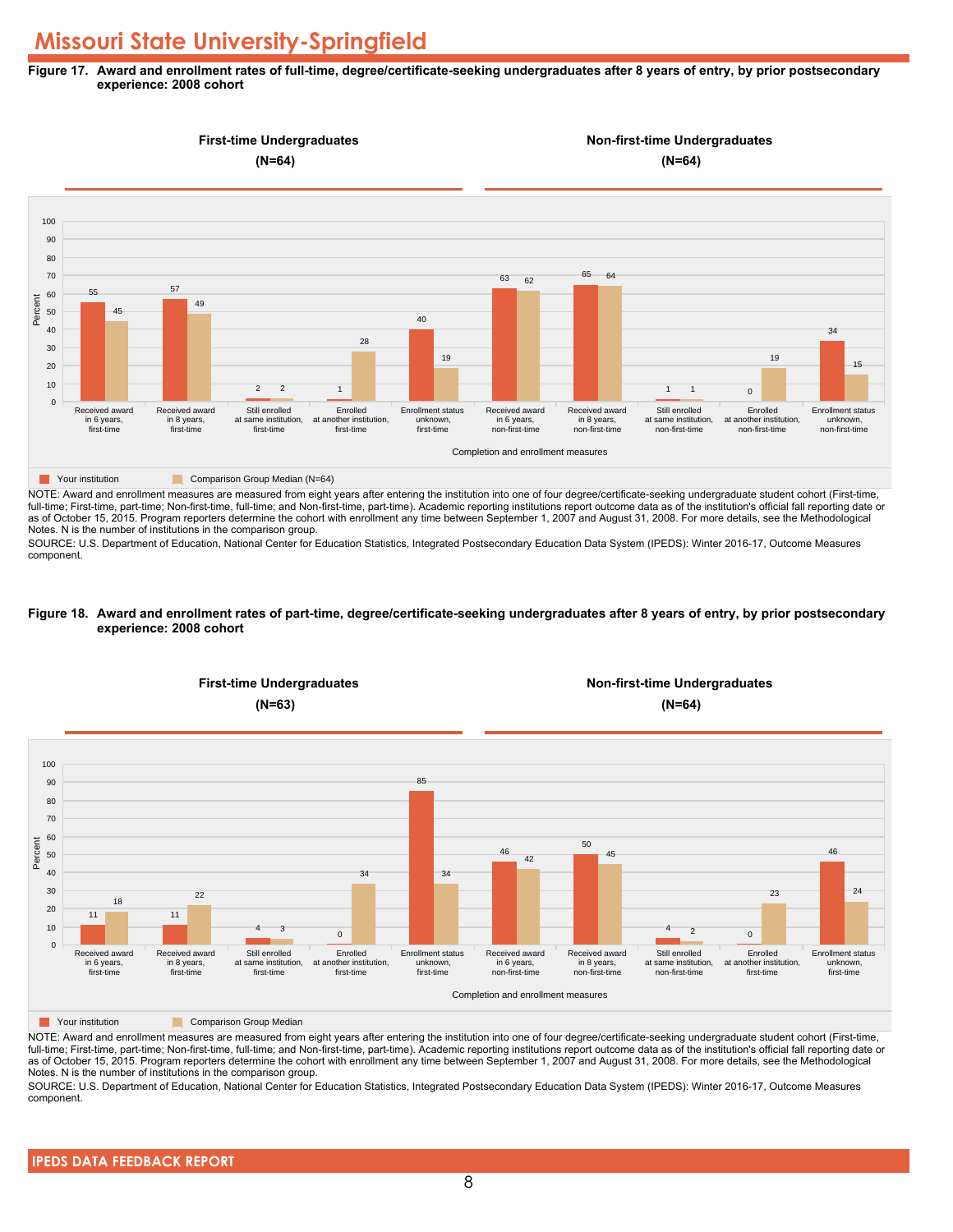#### **Figure 17. Award and enrollment rates of full-time, degree/certificate-seeking undergraduates after 8 years of entry, by prior postsecondary experience: 2008 cohort**



NOTE: Award and enrollment measures are measured from eight years after entering the institution into one of four degree/certificate-seeking undergraduate student cohort (First-time, full-time; First-time, part-time; Non-first-time, full-time; and Non-first-time, part-time). Academic reporting institutions report outcome data as of the institution's official fall reporting date or as of October 15, 2015. Program reporters determine the cohort with enrollment any time between September 1, 2007 and August 31, 2008. For more details, see the Methodological Notes. N is the number of institutions in the comparison group.

SOURCE: U.S. Department of Education, National Center for Education Statistics, Integrated Postsecondary Education Data System (IPEDS): Winter 2016-17, Outcome Measures component.

#### **Figure 18. Award and enrollment rates of part-time, degree/certificate-seeking undergraduates after 8 years of entry, by prior postsecondary experience: 2008 cohort**



NOTE: Award and enrollment measures are measured from eight years after entering the institution into one of four degree/certificate-seeking undergraduate student cohort (First-time, full-time; First-time, part-time; Non-first-time, full-time; and Non-first-time, part-time). Academic reporting institutions report outcome data as of the institution's official fall reporting date or as of October 15, 2015. Program reporters determine the cohort with enrollment any time between September 1, 2007 and August 31, 2008. For more details, see the Methodological Notes. N is the number of institutions in the comparison group.

SOURCE: U.S. Department of Education, National Center for Education Statistics, Integrated Postsecondary Education Data System (IPEDS): Winter 2016-17, Outcome Measures component.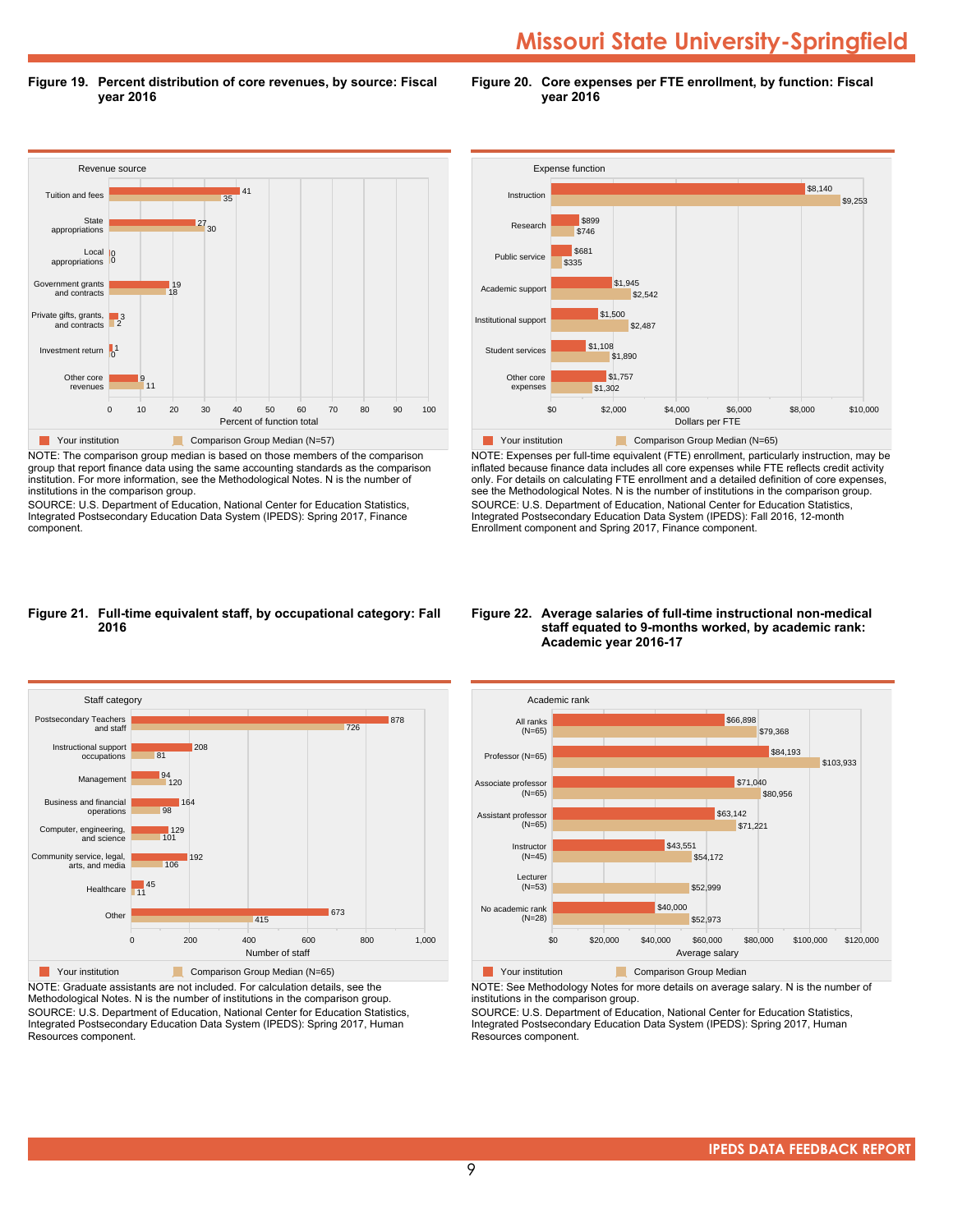**Figure 19. Percent distribution of core revenues, by source: Fiscal year 2016**

**Figure 20. Core expenses per FTE enrollment, by function: Fiscal year 2016**



NOTE: The comparison group median is based on those members of the comparison group that report finance data using the same accounting standards as the comparison institution. For more information, see the Methodological Notes. N is the number of institutions in the comparison group.

SOURCE: U.S. Department of Education, National Center for Education Statistics, Integrated Postsecondary Education Data System (IPEDS): Spring 2017, Finance component.



NOTE: Expenses per full-time equivalent (FTE) enrollment, particularly instruction, may be inflated because finance data includes all core expenses while FTE reflects credit activity only. For details on calculating FTE enrollment and a detailed definition of core expenses, see the Methodological Notes. N is the number of institutions in the comparison group. SOURCE: U.S. Department of Education, National Center for Education Statistics, Integrated Postsecondary Education Data System (IPEDS): Fall 2016, 12-month Enrollment component and Spring 2017, Finance component.

#### **Figure 21. Full-time equivalent staff, by occupational category: Fall 2016**



NOTE: Graduate assistants are not included. For calculation details, see the Methodological Notes. N is the number of institutions in the comparison group. SOURCE: U.S. Department of Education, National Center for Education Statistics, Integrated Postsecondary Education Data System (IPEDS): Spring 2017, Human Resources component.

#### **Figure 22. Average salaries of full-time instructional non-medical staff equated to 9-months worked, by academic rank: Academic year 2016-17**



**The Comparison Group Median**<br> **Comparison Group Median** 

NOTE: See Methodology Notes for more details on average salary. N is the number of institutions in the comparison group.

SOURCE: U.S. Department of Education, National Center for Education Statistics, Integrated Postsecondary Education Data System (IPEDS): Spring 2017, Human Resources component.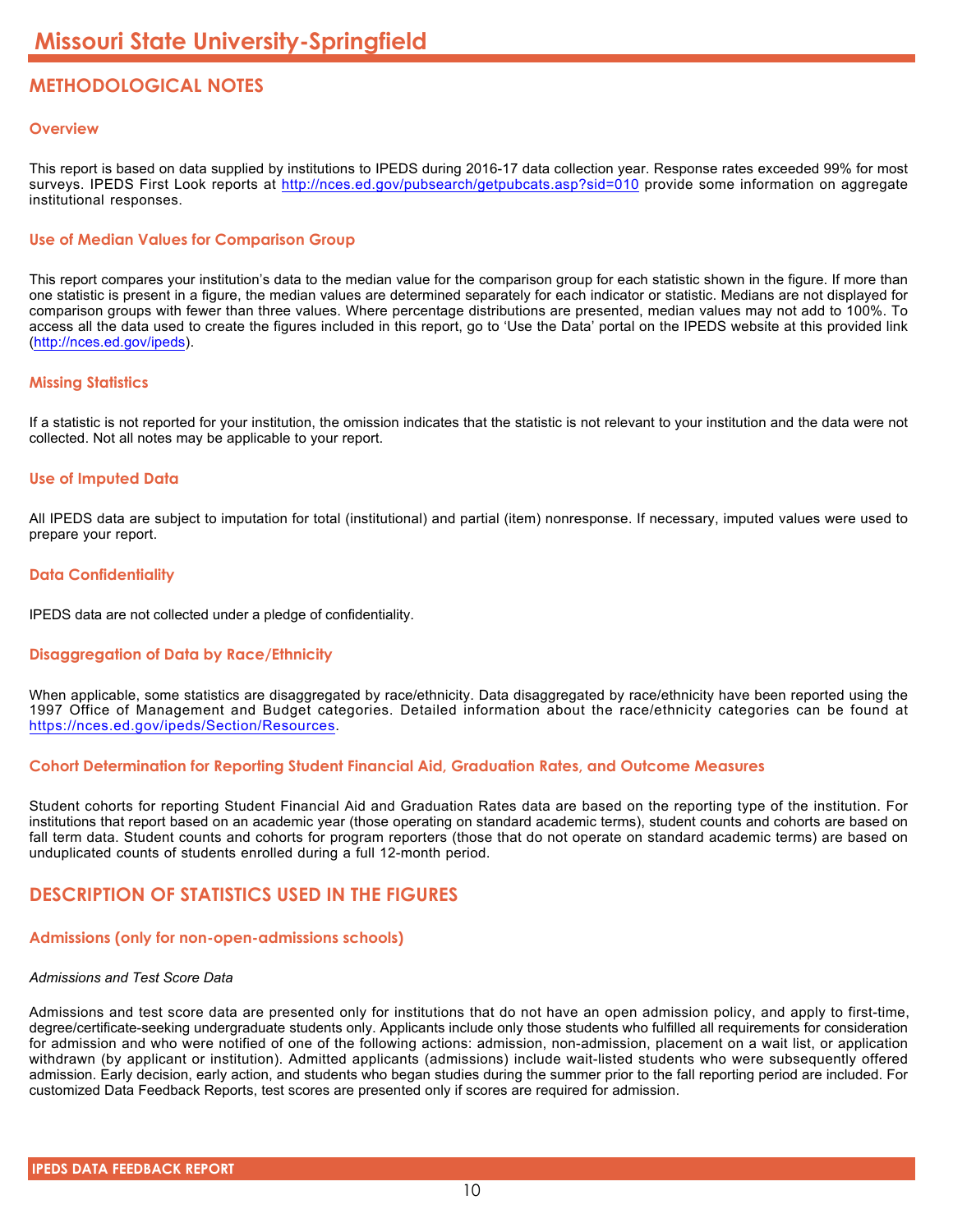# **METHODOLOGICAL NOTES**

# **Overview**

This report is based on data supplied by institutions to IPEDS during 2016-17 data collection year. Response rates exceeded 99% for most surveys. IPEDS First Look reports at <http://nces.ed.gov/pubsearch/getpubcats.asp?sid=010> provide some information on aggregate institutional responses.

# **Use of Median Values for Comparison Group**

This report compares your institution's data to the median value for the comparison group for each statistic shown in the figure. If more than one statistic is present in a figure, the median values are determined separately for each indicator or statistic. Medians are not displayed for comparison groups with fewer than three values. Where percentage distributions are presented, median values may not add to 100%. To access all the data used to create the figures included in this report, go to 'Use the Data' portal on the IPEDS website at this provided link (<http://nces.ed.gov/ipeds>).

# **Missing Statistics**

If a statistic is not reported for your institution, the omission indicates that the statistic is not relevant to your institution and the data were not collected. Not all notes may be applicable to your report.

# **Use of Imputed Data**

All IPEDS data are subject to imputation for total (institutional) and partial (item) nonresponse. If necessary, imputed values were used to prepare your report.

# **Data Confidentiality**

IPEDS data are not collected under a pledge of confidentiality.

# **Disaggregation of Data by Race/Ethnicity**

When applicable, some statistics are disaggregated by race/ethnicity. Data disaggregated by race/ethnicity have been reported using the 1997 Office of Management and Budget categories. Detailed information about the race/ethnicity categories can be found at <https://nces.ed.gov/ipeds/Section/Resources>.

# **Cohort Determination for Reporting Student Financial Aid, Graduation Rates, and Outcome Measures**

Student cohorts for reporting Student Financial Aid and Graduation Rates data are based on the reporting type of the institution. For institutions that report based on an academic year (those operating on standard academic terms), student counts and cohorts are based on fall term data. Student counts and cohorts for program reporters (those that do not operate on standard academic terms) are based on unduplicated counts of students enrolled during a full 12-month period.

# **DESCRIPTION OF STATISTICS USED IN THE FIGURES**

# **Admissions (only for non-open-admissions schools)**

#### *Admissions and Test Score Data*

Admissions and test score data are presented only for institutions that do not have an open admission policy, and apply to first-time, degree/certificate-seeking undergraduate students only. Applicants include only those students who fulfilled all requirements for consideration for admission and who were notified of one of the following actions: admission, non-admission, placement on a wait list, or application withdrawn (by applicant or institution). Admitted applicants (admissions) include wait-listed students who were subsequently offered admission. Early decision, early action, and students who began studies during the summer prior to the fall reporting period are included. For customized Data Feedback Reports, test scores are presented only if scores are required for admission.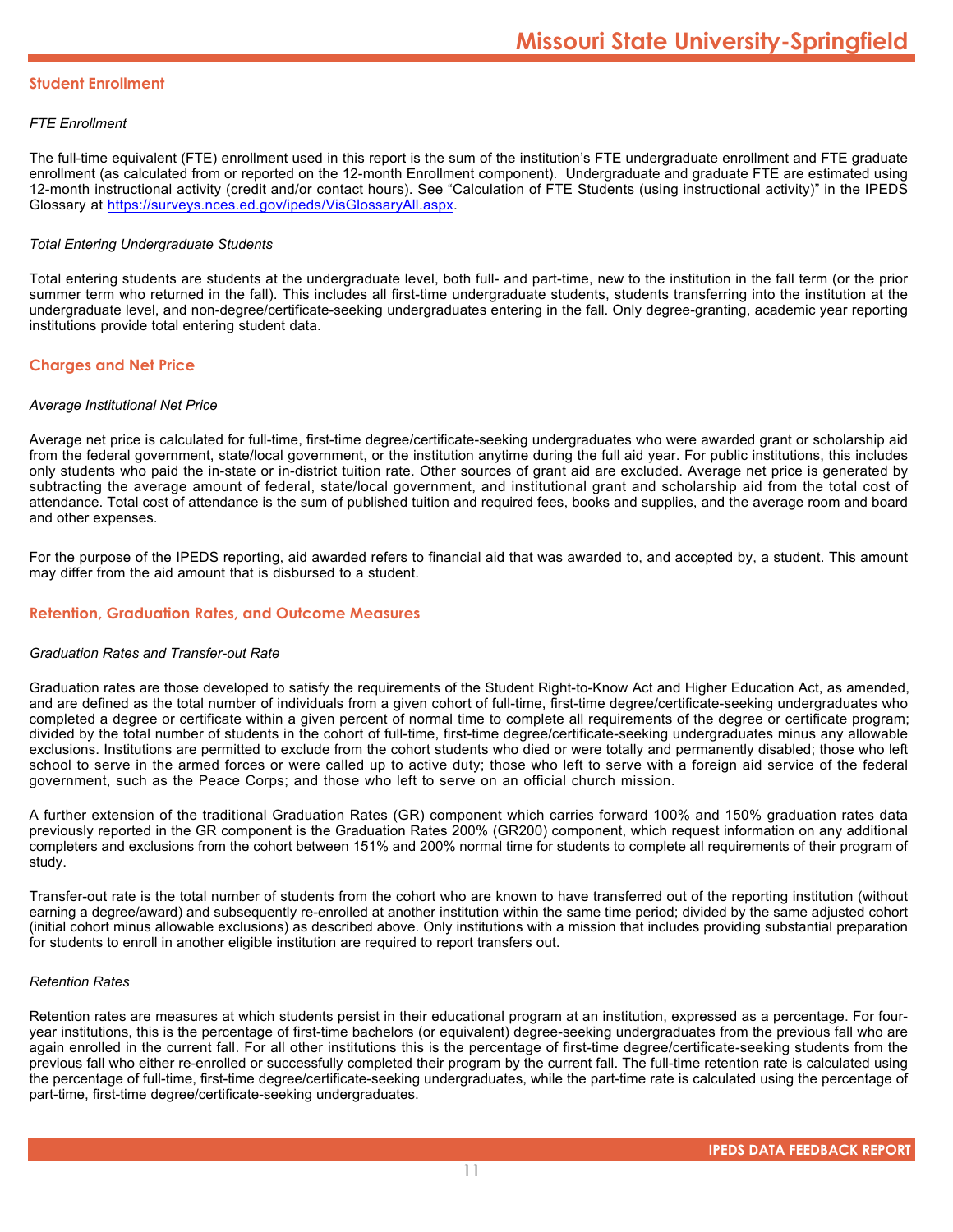#### **Student Enrollment**

# *FTE Enrollment*

The full-time equivalent (FTE) enrollment used in this report is the sum of the institution's FTE undergraduate enrollment and FTE graduate enrollment (as calculated from or reported on the 12-month Enrollment component). Undergraduate and graduate FTE are estimated using 12-month instructional activity (credit and/or contact hours). See "Calculation of FTE Students (using instructional activity)" in the IPEDS Glossary at <https://surveys.nces.ed.gov/ipeds/VisGlossaryAll.aspx>.

# *Total Entering Undergraduate Students*

Total entering students are students at the undergraduate level, both full- and part-time, new to the institution in the fall term (or the prior summer term who returned in the fall). This includes all first-time undergraduate students, students transferring into the institution at the undergraduate level, and non-degree/certificate-seeking undergraduates entering in the fall. Only degree-granting, academic year reporting institutions provide total entering student data.

# **Charges and Net Price**

#### *Average Institutional Net Price*

Average net price is calculated for full-time, first-time degree/certificate-seeking undergraduates who were awarded grant or scholarship aid from the federal government, state/local government, or the institution anytime during the full aid year. For public institutions, this includes only students who paid the in-state or in-district tuition rate. Other sources of grant aid are excluded. Average net price is generated by subtracting the average amount of federal, state/local government, and institutional grant and scholarship aid from the total cost of attendance. Total cost of attendance is the sum of published tuition and required fees, books and supplies, and the average room and board and other expenses.

For the purpose of the IPEDS reporting, aid awarded refers to financial aid that was awarded to, and accepted by, a student. This amount may differ from the aid amount that is disbursed to a student.

# **Retention, Graduation Rates, and Outcome Measures**

#### *Graduation Rates and Transfer-out Rate*

Graduation rates are those developed to satisfy the requirements of the Student Right-to-Know Act and Higher Education Act, as amended, and are defined as the total number of individuals from a given cohort of full-time, first-time degree/certificate-seeking undergraduates who completed a degree or certificate within a given percent of normal time to complete all requirements of the degree or certificate program; divided by the total number of students in the cohort of full-time, first-time degree/certificate-seeking undergraduates minus any allowable exclusions. Institutions are permitted to exclude from the cohort students who died or were totally and permanently disabled; those who left school to serve in the armed forces or were called up to active duty; those who left to serve with a foreign aid service of the federal government, such as the Peace Corps; and those who left to serve on an official church mission.

A further extension of the traditional Graduation Rates (GR) component which carries forward 100% and 150% graduation rates data previously reported in the GR component is the Graduation Rates 200% (GR200) component, which request information on any additional completers and exclusions from the cohort between 151% and 200% normal time for students to complete all requirements of their program of study.

Transfer-out rate is the total number of students from the cohort who are known to have transferred out of the reporting institution (without earning a degree/award) and subsequently re-enrolled at another institution within the same time period; divided by the same adjusted cohort (initial cohort minus allowable exclusions) as described above. Only institutions with a mission that includes providing substantial preparation for students to enroll in another eligible institution are required to report transfers out.

#### *Retention Rates*

Retention rates are measures at which students persist in their educational program at an institution, expressed as a percentage. For fouryear institutions, this is the percentage of first-time bachelors (or equivalent) degree-seeking undergraduates from the previous fall who are again enrolled in the current fall. For all other institutions this is the percentage of first-time degree/certificate-seeking students from the previous fall who either re-enrolled or successfully completed their program by the current fall. The full-time retention rate is calculated using the percentage of full-time, first-time degree/certificate-seeking undergraduates, while the part-time rate is calculated using the percentage of part-time, first-time degree/certificate-seeking undergraduates.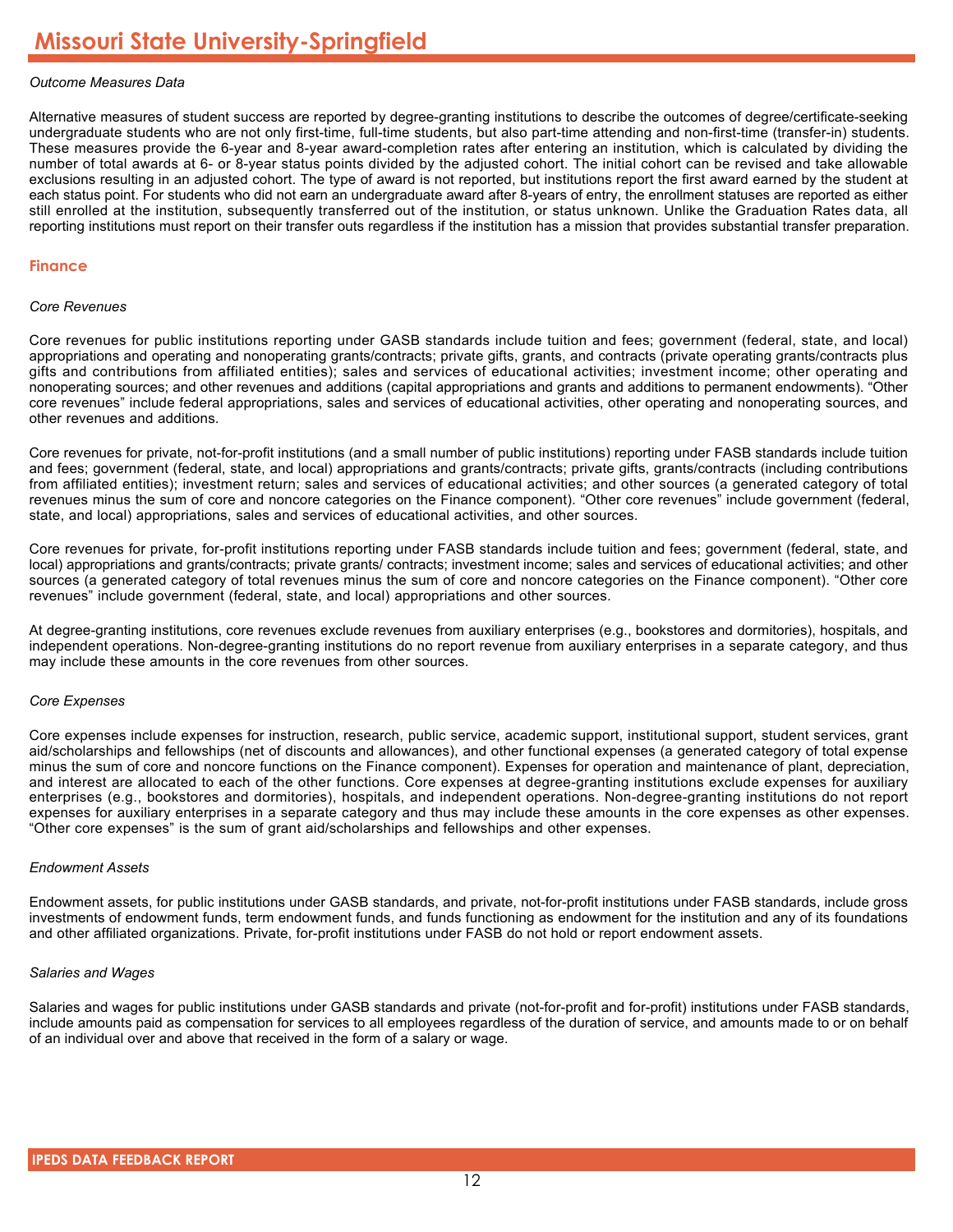# *Outcome Measures Data*

Alternative measures of student success are reported by degree-granting institutions to describe the outcomes of degree/certificate-seeking undergraduate students who are not only first-time, full-time students, but also part-time attending and non-first-time (transfer-in) students. These measures provide the 6-year and 8-year award-completion rates after entering an institution, which is calculated by dividing the number of total awards at 6- or 8-year status points divided by the adjusted cohort. The initial cohort can be revised and take allowable exclusions resulting in an adjusted cohort. The type of award is not reported, but institutions report the first award earned by the student at each status point. For students who did not earn an undergraduate award after 8-years of entry, the enrollment statuses are reported as either still enrolled at the institution, subsequently transferred out of the institution, or status unknown. Unlike the Graduation Rates data, all reporting institutions must report on their transfer outs regardless if the institution has a mission that provides substantial transfer preparation.

#### **Finance**

#### *Core Revenues*

Core revenues for public institutions reporting under GASB standards include tuition and fees; government (federal, state, and local) appropriations and operating and nonoperating grants/contracts; private gifts, grants, and contracts (private operating grants/contracts plus gifts and contributions from affiliated entities); sales and services of educational activities; investment income; other operating and nonoperating sources; and other revenues and additions (capital appropriations and grants and additions to permanent endowments). "Other core revenues" include federal appropriations, sales and services of educational activities, other operating and nonoperating sources, and other revenues and additions.

Core revenues for private, not-for-profit institutions (and a small number of public institutions) reporting under FASB standards include tuition and fees; government (federal, state, and local) appropriations and grants/contracts; private gifts, grants/contracts (including contributions from affiliated entities); investment return; sales and services of educational activities; and other sources (a generated category of total revenues minus the sum of core and noncore categories on the Finance component). "Other core revenues" include government (federal, state, and local) appropriations, sales and services of educational activities, and other sources.

Core revenues for private, for-profit institutions reporting under FASB standards include tuition and fees; government (federal, state, and local) appropriations and grants/contracts; private grants/ contracts; investment income; sales and services of educational activities; and other sources (a generated category of total revenues minus the sum of core and noncore categories on the Finance component). "Other core revenues" include government (federal, state, and local) appropriations and other sources.

At degree-granting institutions, core revenues exclude revenues from auxiliary enterprises (e.g., bookstores and dormitories), hospitals, and independent operations. Non-degree-granting institutions do no report revenue from auxiliary enterprises in a separate category, and thus may include these amounts in the core revenues from other sources.

#### *Core Expenses*

Core expenses include expenses for instruction, research, public service, academic support, institutional support, student services, grant aid/scholarships and fellowships (net of discounts and allowances), and other functional expenses (a generated category of total expense minus the sum of core and noncore functions on the Finance component). Expenses for operation and maintenance of plant, depreciation, and interest are allocated to each of the other functions. Core expenses at degree-granting institutions exclude expenses for auxiliary enterprises (e.g., bookstores and dormitories), hospitals, and independent operations. Non-degree-granting institutions do not report expenses for auxiliary enterprises in a separate category and thus may include these amounts in the core expenses as other expenses. "Other core expenses" is the sum of grant aid/scholarships and fellowships and other expenses.

#### *Endowment Assets*

Endowment assets, for public institutions under GASB standards, and private, not-for-profit institutions under FASB standards, include gross investments of endowment funds, term endowment funds, and funds functioning as endowment for the institution and any of its foundations and other affiliated organizations. Private, for-profit institutions under FASB do not hold or report endowment assets.

#### *Salaries and Wages*

Salaries and wages for public institutions under GASB standards and private (not-for-profit and for-profit) institutions under FASB standards, include amounts paid as compensation for services to all employees regardless of the duration of service, and amounts made to or on behalf of an individual over and above that received in the form of a salary or wage.